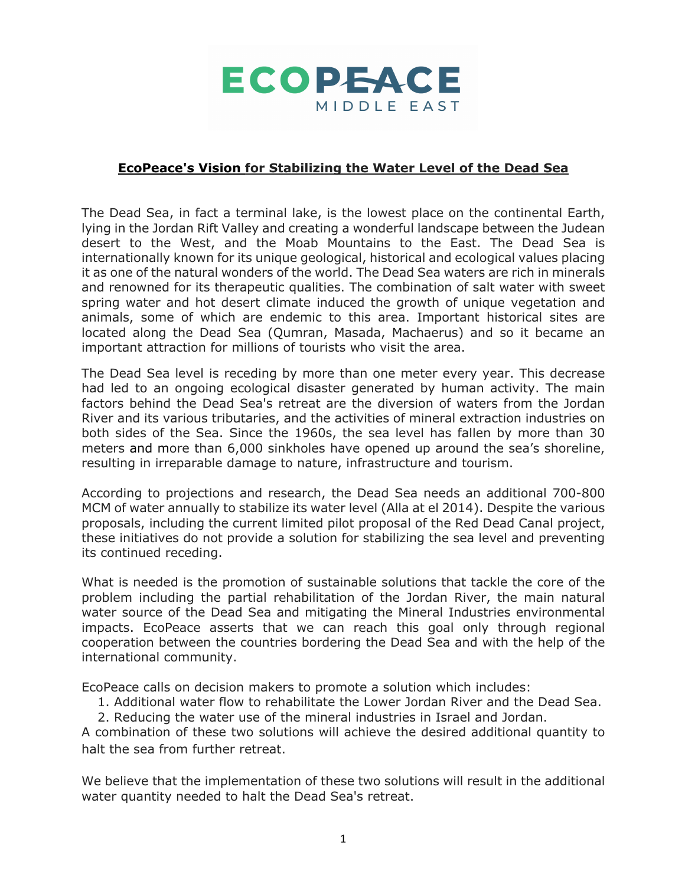

### **EcoPeace's Vision for Stabilizing the Water Level of the Dead Sea**

The Dead Sea, in fact a terminal lake, is the lowest place on the continental Earth, lying in the Jordan Rift Valley and creating a wonderful landscape between the Judean desert to the West, and the Moab Mountains to the East. The Dead Sea is internationally known for its unique geological, historical and ecological values placing it as one of the natural wonders of the world. The Dead Sea waters are rich in minerals and renowned for its therapeutic qualities. The combination of salt water with sweet spring water and hot desert climate induced the growth of unique vegetation and animals, some of which are endemic to this area. Important historical sites are located along the Dead Sea (Qumran, Masada, Machaerus) and so it became an important attraction for millions of tourists who visit the area.

The Dead Sea level is receding by more than one meter every year. This decrease had led to an ongoing ecological disaster generated by human activity. The main factors behind the Dead Sea's retreat are the diversion of waters from the Jordan River and its various tributaries, and the activities of mineral extraction industries on both sides of the Sea. Since the 1960s, the sea level has fallen by more than 30 meters and more than 6,000 sinkholes have opened up around the sea's shoreline, resulting in irreparable damage to nature, infrastructure and tourism.

According to projections and research, the Dead Sea needs an additional 700-800 MCM of water annually to stabilize its water level (Alla at el 2014). Despite the various proposals, including the current limited pilot proposal of the Red Dead Canal project, these initiatives do not provide a solution for stabilizing the sea level and preventing its continued receding.

What is needed is the promotion of sustainable solutions that tackle the core of the problem including the partial rehabilitation of the Jordan River, the main natural water source of the Dead Sea and mitigating the Mineral Industries environmental impacts. EcoPeace asserts that we can reach this goal only through regional cooperation between the countries bordering the Dead Sea and with the help of the international community.

EcoPeace calls on decision makers to promote a solution which includes:

1. Additional water flow to rehabilitate the Lower Jordan River and the Dead Sea.

2. Reducing the water use of the mineral industries in Israel and Jordan.

A combination of these two solutions will achieve the desired additional quantity to halt the sea from further retreat.

We believe that the implementation of these two solutions will result in the additional water quantity needed to halt the Dead Sea's retreat.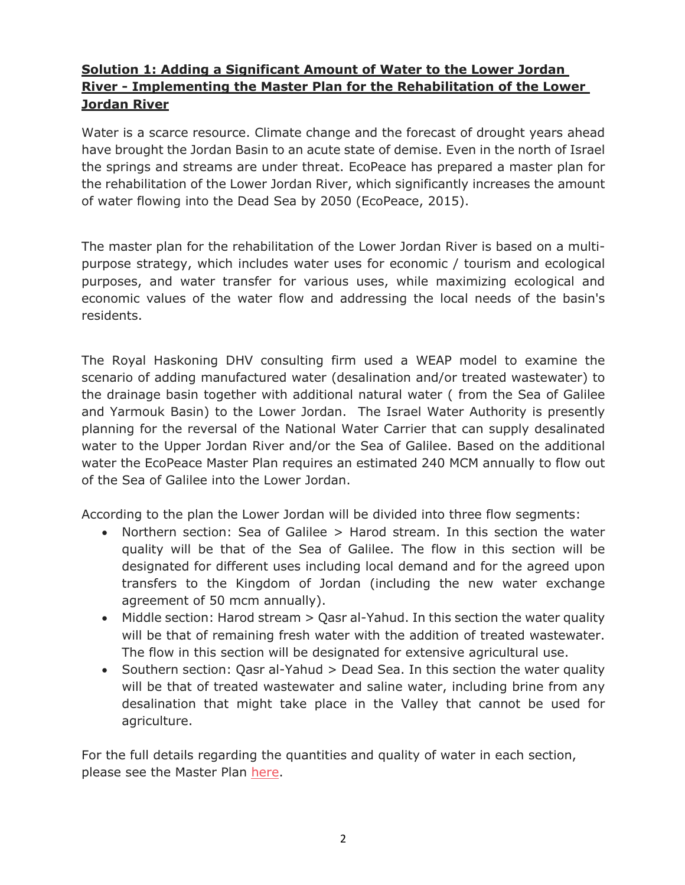# **Solution 1: Adding a Significant Amount of Water to the Lower Jordan River - Implementing the Master Plan for the Rehabilitation of the Lower Jordan River**

Water is a scarce resource. Climate change and the forecast of drought years ahead have brought the Jordan Basin to an acute state of demise. Even in the north of Israel the springs and streams are under threat. EcoPeace has prepared a master plan for the rehabilitation of the Lower Jordan River, which significantly increases the amount of water flowing into the Dead Sea by 2050 (EcoPeace, 2015).

The master plan for the rehabilitation of the Lower Jordan River is based on a multipurpose strategy, which includes water uses for economic / tourism and ecological purposes, and water transfer for various uses, while maximizing ecological and economic values of the water flow and addressing the local needs of the basin's residents.

The Royal Haskoning DHV consulting firm used a WEAP model to examine the scenario of adding manufactured water (desalination and/or treated wastewater) to the drainage basin together with additional natural water ( from the Sea of Galilee and Yarmouk Basin) to the Lower Jordan. The Israel Water Authority is presently planning for the reversal of the National Water Carrier that can supply desalinated water to the Upper Jordan River and/or the Sea of Galilee. Based on the additional water the EcoPeace Master Plan requires an estimated 240 MCM annually to flow out of the Sea of Galilee into the Lower Jordan.

According to the plan the Lower Jordan will be divided into three flow segments:

- Northern section: Sea of Galilee > Harod stream. In this section the water quality will be that of the Sea of Galilee. The flow in this section will be designated for different uses including local demand and for the agreed upon transfers to the Kingdom of Jordan (including the new water exchange agreement of 50 mcm annually).
- Middle section: Harod stream > Qasr al-Yahud. In this section the water quality will be that of remaining fresh water with the addition of treated wastewater. The flow in this section will be designated for extensive agricultural use.
- Southern section: Qasr al-Yahud > Dead Sea. In this section the water quality will be that of treated wastewater and saline water, including brine from any desalination that might take place in the Valley that cannot be used for agriculture.

For the full details regarding the quantities and quality of water in each section, please see the Master Plan here.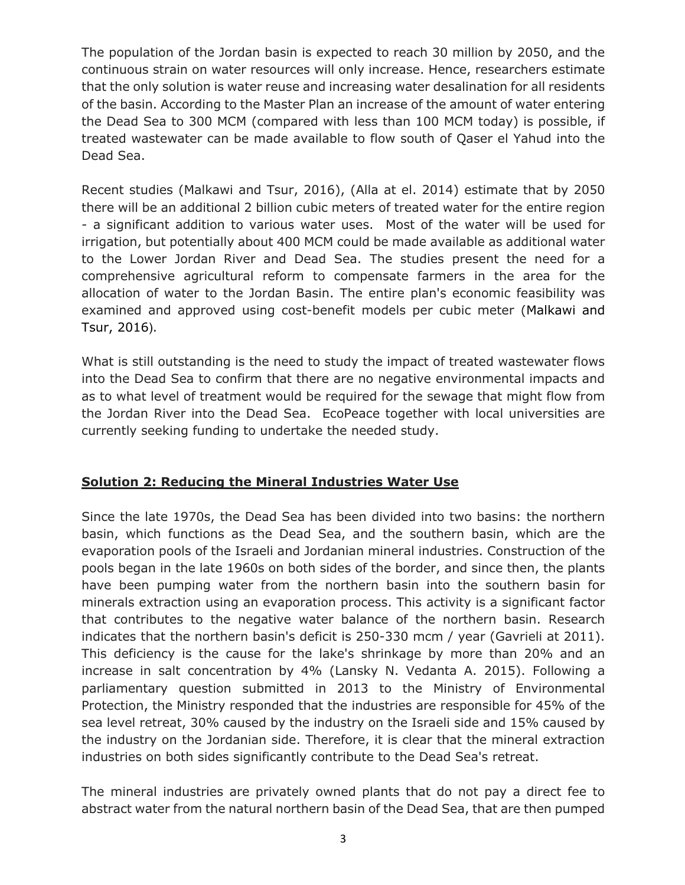The population of the Jordan basin is expected to reach 30 million by 2050, and the continuous strain on water resources will only increase. Hence, researchers estimate that the only solution is water reuse and increasing water desalination for all residents of the basin. According to the Master Plan an increase of the amount of water entering the Dead Sea to 300 MCM (compared with less than 100 MCM today) is possible, if treated wastewater can be made available to flow south of Qaser el Yahud into the Dead Sea.

Recent studies (Malkawi and Tsur, 2016), (Alla at el. 2014) estimate that by 2050 there will be an additional 2 billion cubic meters of treated water for the entire region - a significant addition to various water uses. Most of the water will be used for irrigation, but potentially about 400 MCM could be made available as additional water to the Lower Jordan River and Dead Sea. The studies present the need for a comprehensive agricultural reform to compensate farmers in the area for the allocation of water to the Jordan Basin. The entire plan's economic feasibility was examined and approved using cost-benefit models per cubic meter (Malkawi and Tsur, 2016).

What is still outstanding is the need to study the impact of treated wastewater flows into the Dead Sea to confirm that there are no negative environmental impacts and as to what level of treatment would be required for the sewage that might flow from the Jordan River into the Dead Sea. EcoPeace together with local universities are currently seeking funding to undertake the needed study.

# **Solution 2: Reducing the Mineral Industries Water Use**

Since the late 1970s, the Dead Sea has been divided into two basins: the northern basin, which functions as the Dead Sea, and the southern basin, which are the evaporation pools of the Israeli and Jordanian mineral industries. Construction of the pools began in the late 1960s on both sides of the border, and since then, the plants have been pumping water from the northern basin into the southern basin for minerals extraction using an evaporation process. This activity is a significant factor that contributes to the negative water balance of the northern basin. Research indicates that the northern basin's deficit is 250-330 mcm / year (Gavrieli at 2011). This deficiency is the cause for the lake's shrinkage by more than 20% and an increase in salt concentration by 4% (Lansky N. Vedanta A. 2015). Following a parliamentary question submitted in 2013 to the Ministry of Environmental Protection, the Ministry responded that the industries are responsible for 45% of the sea level retreat, 30% caused by the industry on the Israeli side and 15% caused by the industry on the Jordanian side. Therefore, it is clear that the mineral extraction industries on both sides significantly contribute to the Dead Sea's retreat.

The mineral industries are privately owned plants that do not pay a direct fee to abstract water from the natural northern basin of the Dead Sea, that are then pumped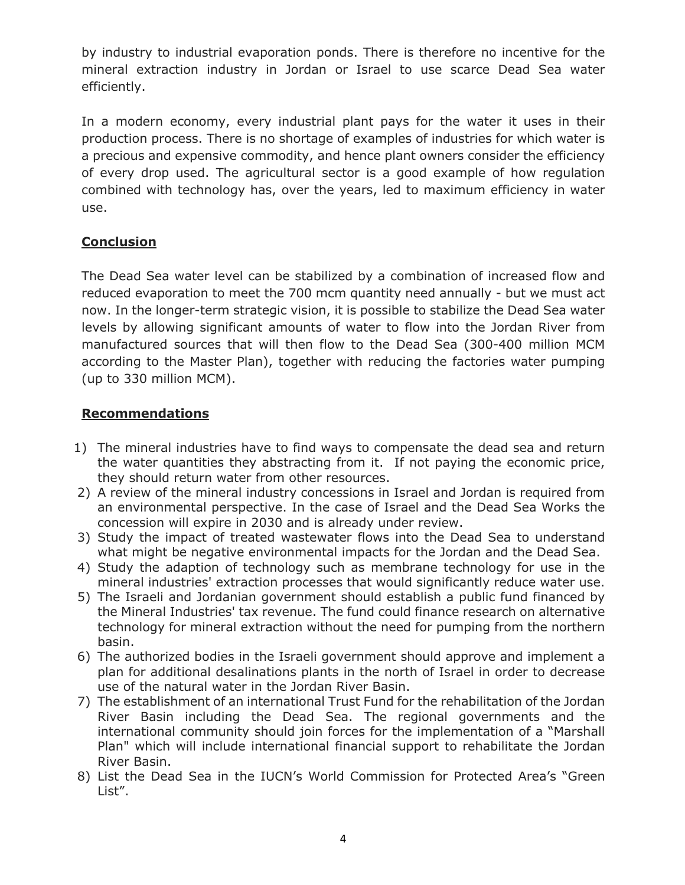by industry to industrial evaporation ponds. There is therefore no incentive for the mineral extraction industry in Jordan or Israel to use scarce Dead Sea water efficiently.

In a modern economy, every industrial plant pays for the water it uses in their production process. There is no shortage of examples of industries for which water is a precious and expensive commodity, and hence plant owners consider the efficiency of every drop used. The agricultural sector is a good example of how regulation combined with technology has, over the years, led to maximum efficiency in water use.

# **Conclusion**

The Dead Sea water level can be stabilized by a combination of increased flow and reduced evaporation to meet the 700 mcm quantity need annually - but we must act now. In the longer-term strategic vision, it is possible to stabilize the Dead Sea water levels by allowing significant amounts of water to flow into the Jordan River from manufactured sources that will then flow to the Dead Sea (300-400 million MCM according to the Master Plan), together with reducing the factories water pumping (up to 330 million MCM).

# **Recommendations**

- 1) The mineral industries have to find ways to compensate the dead sea and return the water quantities they abstracting from it. If not paying the economic price, they should return water from other resources.
- 2) A review of the mineral industry concessions in Israel and Jordan is required from an environmental perspective. In the case of Israel and the Dead Sea Works the concession will expire in 2030 and is already under review.
- 3) Study the impact of treated wastewater flows into the Dead Sea to understand what might be negative environmental impacts for the Jordan and the Dead Sea.
- 4) Study the adaption of technology such as membrane technology for use in the mineral industries' extraction processes that would significantly reduce water use.
- 5) The Israeli and Jordanian government should establish a public fund financed by the Mineral Industries' tax revenue. The fund could finance research on alternative technology for mineral extraction without the need for pumping from the northern basin.
- 6) The authorized bodies in the Israeli government should approve and implement a plan for additional desalinations plants in the north of Israel in order to decrease use of the natural water in the Jordan River Basin.
- 7) The establishment of an international Trust Fund for the rehabilitation of the Jordan River Basin including the Dead Sea. The regional governments and the international community should join forces for the implementation of a "Marshall Plan" which will include international financial support to rehabilitate the Jordan River Basin.
- 8) List the Dead Sea in the IUCN's World Commission for Protected Area's "Green List".